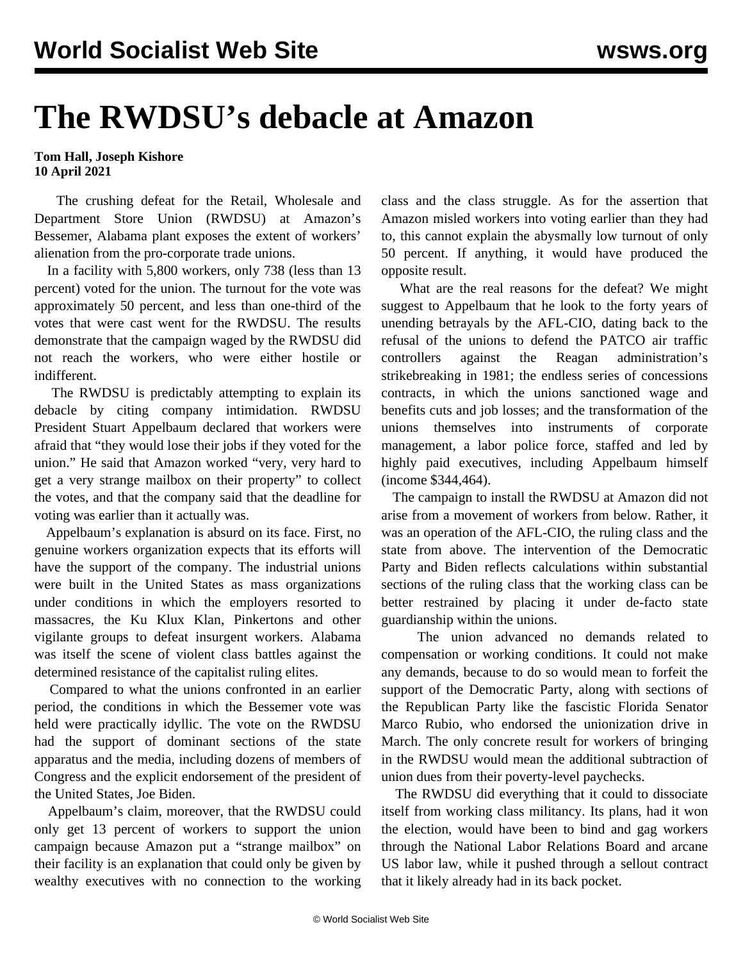## **The RWDSU's debacle at Amazon**

## **Tom Hall, Joseph Kishore 10 April 2021**

 The crushing defeat for the Retail, Wholesale and Department Store Union (RWDSU) at Amazon's Bessemer, Alabama plant exposes the extent of workers' alienation from the pro-corporate trade unions.

 In a facility with 5,800 workers, only 738 (less than 13 percent) voted for the union. The turnout for the vote was approximately 50 percent, and less than one-third of the votes that were cast went for the RWDSU. The results demonstrate that the campaign waged by the RWDSU did not reach the workers, who were either hostile or indifferent.

 The RWDSU is predictably attempting to explain its debacle by citing company intimidation. RWDSU President Stuart Appelbaum declared that workers were afraid that "they would lose their jobs if they voted for the union." He said that Amazon worked "very, very hard to get a very strange mailbox on their property" to collect the votes, and that the company said that the deadline for voting was earlier than it actually was.

 Appelbaum's explanation is absurd on its face. First, no genuine workers organization expects that its efforts will have the support of the company. The industrial unions were built in the United States as mass organizations under conditions in which the employers resorted to massacres, the Ku Klux Klan, Pinkertons and other vigilante groups to defeat insurgent workers. Alabama was itself the scene of violent class battles against the determined resistance of the capitalist ruling elites.

 Compared to what the unions confronted in an earlier period, the conditions in which the Bessemer vote was held were practically idyllic. The vote on the RWDSU had the support of dominant sections of the state apparatus and the media, including dozens of members of Congress and the explicit endorsement of the president of the United States, Joe Biden.

 Appelbaum's claim, moreover, that the RWDSU could only get 13 percent of workers to support the union campaign because Amazon put a "strange mailbox" on their facility is an explanation that could only be given by wealthy executives with no connection to the working

class and the class struggle. As for the assertion that Amazon misled workers into voting earlier than they had to, this cannot explain the abysmally low turnout of only 50 percent. If anything, it would have produced the opposite result.

 What are the real reasons for the defeat? We might suggest to Appelbaum that he look to the forty years of unending betrayals by the AFL-CIO, dating back to the refusal of the unions to defend the PATCO air traffic controllers against the Reagan administration's strikebreaking in 1981; the endless series of concessions contracts, in which the unions sanctioned wage and benefits cuts and job losses; and the transformation of the unions themselves into instruments of corporate management, a labor police force, staffed and led by highly paid executives, including Appelbaum himself (income \$344,464).

 The campaign to install the RWDSU at Amazon did not arise from a movement of workers from below. Rather, it was an operation of the AFL-CIO, the ruling class and the state from above. The intervention of the Democratic Party and Biden reflects calculations within substantial sections of the ruling class that the working class can be better restrained by placing it under de-facto state guardianship within the unions.

 The union advanced no demands related to compensation or working conditions. It could not make any demands, because to do so would mean to forfeit the support of the Democratic Party, along with sections of the Republican Party like the fascistic Florida Senator Marco Rubio, who endorsed the unionization drive in March. The only concrete result for workers of bringing in the RWDSU would mean the additional subtraction of union dues from their poverty-level paychecks.

 The RWDSU did everything that it could to dissociate itself from working class militancy. Its plans, had it won the election, would have been to bind and gag workers through the National Labor Relations Board and arcane US labor law, while it pushed through a sellout contract that it likely already had in its back pocket.